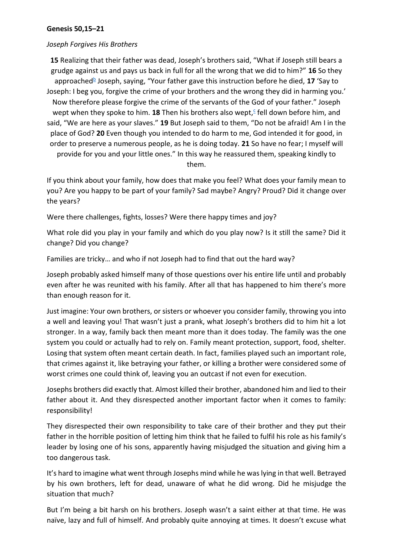## **Genesis 50,15–21**

## *Joseph Forgives His Brothers*

**15** Realizing that their father was dead, Joseph's brothers said, "What if Joseph still bears a grudge against us and pays us back in full for all the wrong that we did to him?" **16** So they approached<sup>[b](https://biblia.com/bible/nrsv/genesis/50/15-21#footnote1)</sup> Joseph, saying, "Your father gave this instruction before he died, 17 'Say to Joseph: I beg you, forgive the crime of your brothers and the wrong they did in harming you.' Now therefore please forgive the crime of the servants of the God of your father." Joseph wept when they spoke to him. 18 Then his brothers also wept[,](https://biblia.com/bible/nrsv/genesis/50/15-21#footnote2)<sup>c</sup> fell down before him, and said, "We are here as your slaves." **19** But Joseph said to them, "Do not be afraid! Am I in the place of God? **20** Even though you intended to do harm to me, God intended it for good, in order to preserve a numerous people, as he is doing today. **21** So have no fear; I myself will provide for you and your little ones." In this way he reassured them, speaking kindly to them.

If you think about your family, how does that make you feel? What does your family mean to you? Are you happy to be part of your family? Sad maybe? Angry? Proud? Did it change over the years?

Were there challenges, fights, losses? Were there happy times and joy?

What role did you play in your family and which do you play now? Is it still the same? Did it change? Did you change?

Families are tricky… and who if not Joseph had to find that out the hard way?

Joseph probably asked himself many of those questions over his entire life until and probably even after he was reunited with his family. After all that has happened to him there's more than enough reason for it.

Just imagine: Your own brothers, or sisters or whoever you consider family, throwing you into a well and leaving you! That wasn't just a prank, what Joseph's brothers did to him hit a lot stronger. In a way, family back then meant more than it does today. The family was the one system you could or actually had to rely on. Family meant protection, support, food, shelter. Losing that system often meant certain death. In fact, families played such an important role, that crimes against it, like betraying your father, or killing a brother were considered some of worst crimes one could think of, leaving you an outcast if not even for execution.

Josephs brothers did exactly that. Almost killed their brother, abandoned him and lied to their father about it. And they disrespected another important factor when it comes to family: responsibility!

They disrespected their own responsibility to take care of their brother and they put their father in the horrible position of letting him think that he failed to fulfil his role as his family's leader by losing one of his sons, apparently having misjudged the situation and giving him a too dangerous task.

It's hard to imagine what went through Josephs mind while he was lying in that well. Betrayed by his own brothers, left for dead, unaware of what he did wrong. Did he misjudge the situation that much?

But I'm being a bit harsh on his brothers. Joseph wasn't a saint either at that time. He was naïve, lazy and full of himself. And probably quite annoying at times. It doesn't excuse what